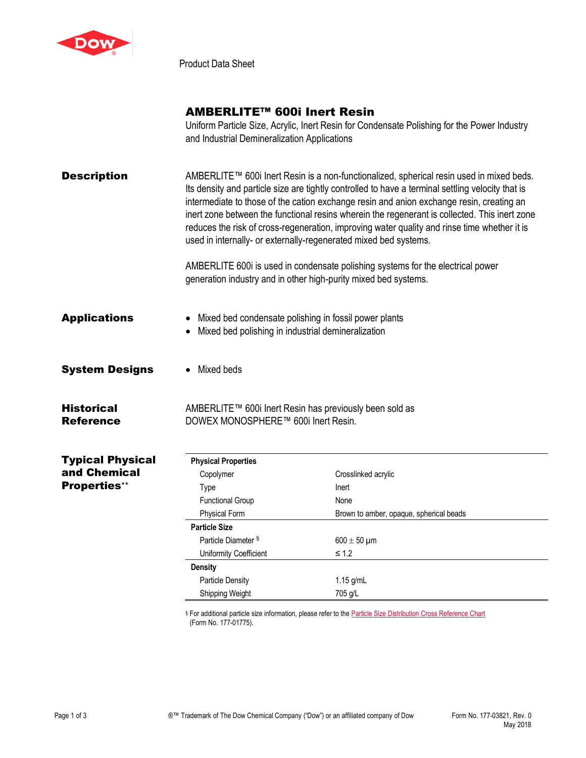

Product Data Sheet

## AMBERLITE™ 600i Inert Resin

Uniform Particle Size, Acrylic, Inert Resin for Condensate Polishing for the Power Industry and Industrial Demineralization Applications

| <b>Description</b>                    |                                                                                                             | AMBERLITE™ 600i Inert Resin is a non-functionalized, spherical resin used in mixed beds.<br>Its density and particle size are tightly controlled to have a terminal settling velocity that is<br>intermediate to those of the cation exchange resin and anion exchange resin, creating an<br>inert zone between the functional resins wherein the regenerant is collected. This inert zone<br>reduces the risk of cross-regeneration, improving water quality and rinse time whether it is<br>used in internally- or externally-regenerated mixed bed systems.<br>AMBERLITE 600i is used in condensate polishing systems for the electrical power<br>generation industry and in other high-purity mixed bed systems. |  |
|---------------------------------------|-------------------------------------------------------------------------------------------------------------|----------------------------------------------------------------------------------------------------------------------------------------------------------------------------------------------------------------------------------------------------------------------------------------------------------------------------------------------------------------------------------------------------------------------------------------------------------------------------------------------------------------------------------------------------------------------------------------------------------------------------------------------------------------------------------------------------------------------|--|
| <b>Applications</b>                   | Mixed bed condensate polishing in fossil power plants<br>Mixed bed polishing in industrial demineralization |                                                                                                                                                                                                                                                                                                                                                                                                                                                                                                                                                                                                                                                                                                                      |  |
| <b>System Designs</b>                 | Mixed beds                                                                                                  |                                                                                                                                                                                                                                                                                                                                                                                                                                                                                                                                                                                                                                                                                                                      |  |
| <b>Historical</b><br><b>Reference</b> | AMBERLITE™ 600i Inert Resin has previously been sold as<br>DOWEX MONOSPHERE™ 600i Inert Resin.              |                                                                                                                                                                                                                                                                                                                                                                                                                                                                                                                                                                                                                                                                                                                      |  |
| <b>Typical Physical</b>               | <b>Physical Properties</b>                                                                                  |                                                                                                                                                                                                                                                                                                                                                                                                                                                                                                                                                                                                                                                                                                                      |  |
| and Chemical                          | Copolymer                                                                                                   | Crosslinked acrylic                                                                                                                                                                                                                                                                                                                                                                                                                                                                                                                                                                                                                                                                                                  |  |
| <b>Properties**</b>                   | Type                                                                                                        | Inert                                                                                                                                                                                                                                                                                                                                                                                                                                                                                                                                                                                                                                                                                                                |  |
|                                       | <b>Functional Group</b>                                                                                     | None                                                                                                                                                                                                                                                                                                                                                                                                                                                                                                                                                                                                                                                                                                                 |  |
|                                       | <b>Physical Form</b>                                                                                        | Brown to amber, opaque, spherical beads                                                                                                                                                                                                                                                                                                                                                                                                                                                                                                                                                                                                                                                                              |  |
|                                       | <b>Particle Size</b>                                                                                        |                                                                                                                                                                                                                                                                                                                                                                                                                                                                                                                                                                                                                                                                                                                      |  |
|                                       | Particle Diameter §                                                                                         | $600 \pm 50$ µm                                                                                                                                                                                                                                                                                                                                                                                                                                                                                                                                                                                                                                                                                                      |  |
|                                       | Uniformity Coefficient                                                                                      | $\leq$ 1.2                                                                                                                                                                                                                                                                                                                                                                                                                                                                                                                                                                                                                                                                                                           |  |
|                                       | <b>Density</b>                                                                                              |                                                                                                                                                                                                                                                                                                                                                                                                                                                                                                                                                                                                                                                                                                                      |  |
|                                       | <b>Particle Density</b>                                                                                     | 1.15 g/mL                                                                                                                                                                                                                                                                                                                                                                                                                                                                                                                                                                                                                                                                                                            |  |
|                                       | Shipping Weight                                                                                             | 705 g/L                                                                                                                                                                                                                                                                                                                                                                                                                                                                                                                                                                                                                                                                                                              |  |

§ For additional particle size information, please refer to the **Particle Size Distribution Cross Reference Chart** (Form No. 177-01775).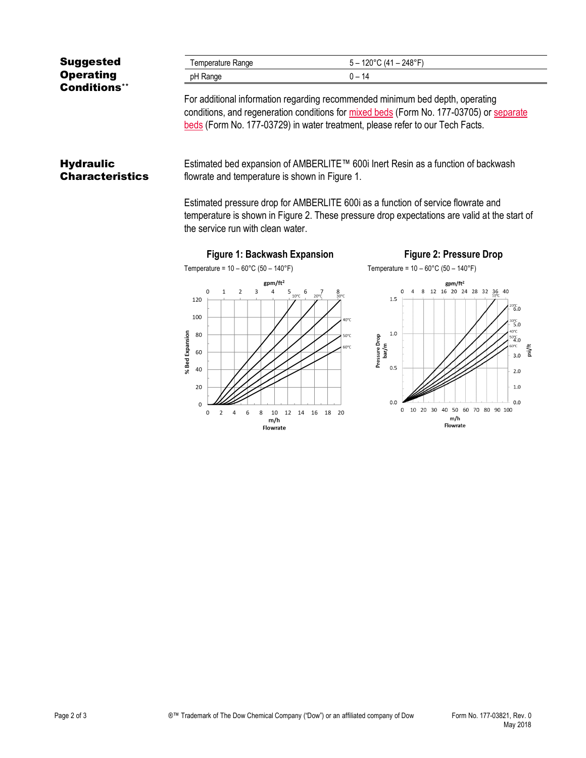| <b>Suggested</b>    | Temperature Range | 5 – 120°C (41 – 248°F) |
|---------------------|-------------------|------------------------|
| <b>Operating</b>    | pH Range          | Ი – 14                 |
| <b>Conditions**</b> |                   | .                      |

For additional information regarding recommended minimum bed depth, operating conditions, and regeneration conditions for [mixed beds](http://www.dow.com/webapps/include/GetDoc.aspx?filepath=liquidseps/pdfs/noreg/177-03705.pdf) (Form No. 177-03705) or [separate](http://www.dow.com/webapps/include/GetDoc.aspx?filepath=liquidseps/pdfs/noreg/177-03729.pdf)  [beds](http://www.dow.com/webapps/include/GetDoc.aspx?filepath=liquidseps/pdfs/noreg/177-03729.pdf) (Form No. 177-03729) in water treatment, please refer to our Tech Facts.

## **Hydraulic Characteristics**

Estimated bed expansion of AMBERLITE™ 600i Inert Resin as a function of backwash flowrate and temperature is shown in Figure 1.

Estimated pressure drop for AMBERLITE 600i as a function of service flowrate and temperature is shown in Figure 2. These pressure drop expectations are valid at the start of the service run with clean water.